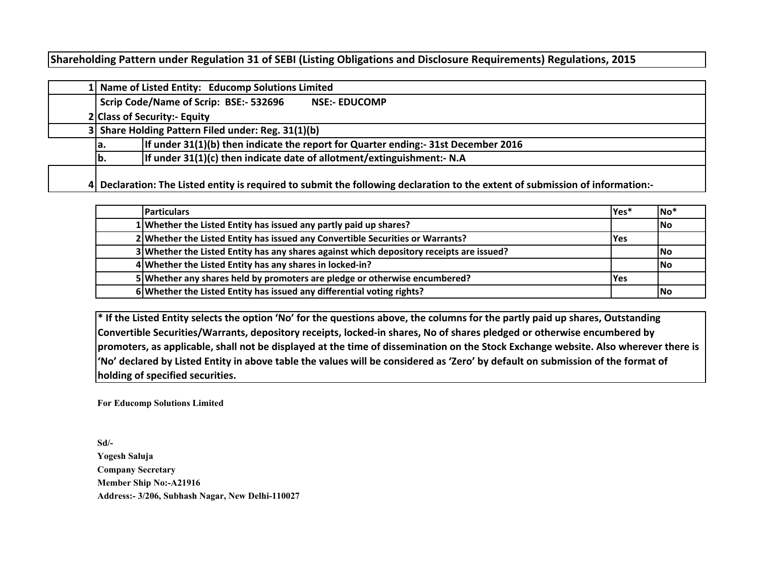# **Shareholding Pattern under Regulation 31 of SEBI (Listing Obligations and Disclosure Requirements) Regulations, 2015**

|  | 1 Name of Listed Entity: Educomp Solutions Limited                                                                            |  |  |  |  |  |  |  |  |  |  |  |  |  |
|--|-------------------------------------------------------------------------------------------------------------------------------|--|--|--|--|--|--|--|--|--|--|--|--|--|
|  | Scrip Code/Name of Scrip: BSE:- 532696<br><b>NSE:- EDUCOMP</b>                                                                |  |  |  |  |  |  |  |  |  |  |  |  |  |
|  | 2 Class of Security:- Equity                                                                                                  |  |  |  |  |  |  |  |  |  |  |  |  |  |
|  | 3 Share Holding Pattern Filed under: Reg. 31(1)(b)                                                                            |  |  |  |  |  |  |  |  |  |  |  |  |  |
|  | If under 31(1)(b) then indicate the report for Quarter ending:- 31st December 2016<br>la.                                     |  |  |  |  |  |  |  |  |  |  |  |  |  |
|  | If under 31(1)(c) then indicate date of allotment/extinguishment:- N.A<br>lb.                                                 |  |  |  |  |  |  |  |  |  |  |  |  |  |
|  | 4 Declaration: The Listed entity is required to submit the following declaration to the extent of submission of information:- |  |  |  |  |  |  |  |  |  |  |  |  |  |

| <b>Particulars</b>                                                                       | Yes*       | $No*$      |
|------------------------------------------------------------------------------------------|------------|------------|
| 1 Whether the Listed Entity has issued any partly paid up shares?                        |            | lNo        |
| 2 Whether the Listed Entity has issued any Convertible Securities or Warrants?           | <b>Yes</b> |            |
| 3 Whether the Listed Entity has any shares against which depository receipts are issued? |            | <b>INo</b> |
| 4 Whether the Listed Entity has any shares in locked-in?                                 |            | lNo        |
| 5 Whether any shares held by promoters are pledge or otherwise encumbered?               | <b>Yes</b> |            |
| 6 Whether the Listed Entity has issued any differential voting rights?                   |            | lNo        |

**\* If the Listed Entity selects the option 'No' for the questions above, the columns for the partly paid up shares, Outstanding Convertible Securities/Warrants, depository receipts, locked-in shares, No of shares pledged or otherwise encumbered by promoters, as applicable, shall not be displayed at the time of dissemination on the Stock Exchange website. Also wherever there is 'No' declared by Listed Entity in above table the values will be considered as 'Zero' by default on submission of the format of holding of specified securities.**

**For Educomp Solutions Limited**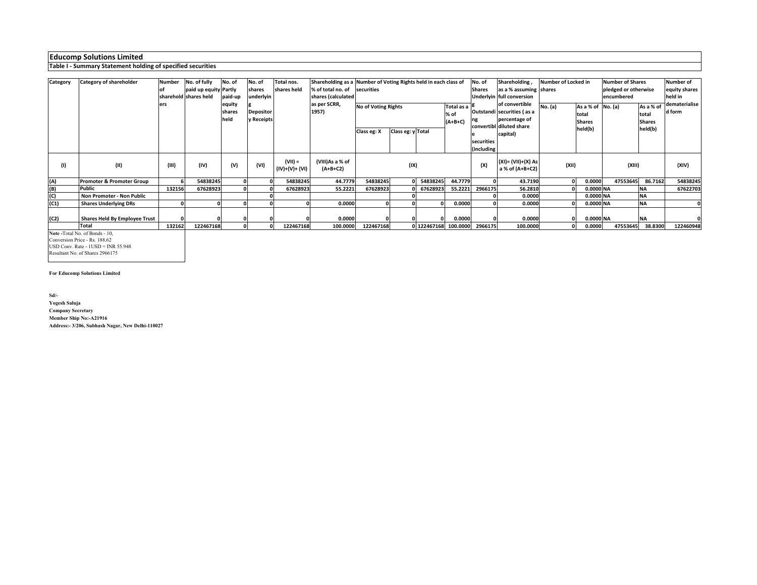#### **Table I - Summary Statement holding of specified securities**

| <b>Category</b> | Category of shareholder       | Number | No. of fully          | No. of                   | No. of                         | Total nos.                  | Shareholding as a Number of Voting Rights held in each class of |                            |                   |                      |                                 | No. of        | Shareholding,                                                                             | Number of Locked in |                                             | <b>Number of Shares</b> |                                     | <b>Number of</b>        |
|-----------------|-------------------------------|--------|-----------------------|--------------------------|--------------------------------|-----------------------------|-----------------------------------------------------------------|----------------------------|-------------------|----------------------|---------------------------------|---------------|-------------------------------------------------------------------------------------------|---------------------|---------------------------------------------|-------------------------|-------------------------------------|-------------------------|
|                 |                               |        | paid up equity Partly |                          | shares                         | shares held                 | % of total no. of securities                                    |                            |                   |                      |                                 | <b>Shares</b> | as a % assuming shares                                                                    |                     |                                             | pledged or otherwise    |                                     | equity shares           |
|                 |                               |        | sharehold shares held | paid-up                  | underlyin                      |                             | shares (calculated                                              |                            |                   |                      |                                 |               | Underlyin full conversion                                                                 |                     |                                             | encumbered              |                                     | held in                 |
|                 |                               | ers    |                       | equity<br>shares<br>held | <b>Depositor</b><br>y Receipts |                             | as per SCRR,<br>1957)                                           | <b>No of Voting Rights</b> |                   |                      | Total as a<br>% of<br>$(A+B+C)$ |               | of convertible<br>Outstandi securities (as a<br>percentage of<br>convertibl diluted share | No. (a)             | As a % of No. (a)<br>total<br><b>Shares</b> |                         | As a % of<br>total<br><b>Shares</b> | dematerialise<br>d form |
|                 |                               |        |                       |                          |                                |                             |                                                                 | Class eg: X                | Class eg: y Total |                      |                                 |               | capital)                                                                                  |                     | held(b)                                     |                         | held(b)                             |                         |
|                 |                               |        |                       |                          |                                |                             |                                                                 |                            |                   |                      |                                 | securities    |                                                                                           |                     |                                             |                         |                                     |                         |
|                 |                               |        |                       |                          |                                |                             |                                                                 |                            |                   |                      |                                 | (including    |                                                                                           |                     |                                             |                         |                                     |                         |
| (1)             | (II)                          | (III)  | (IV)                  | (V)                      | (VI)                           | $(VII) =$<br>(IV)+(V)+ (VI) | (VIII)As a % of<br>$(A+B+C2)$                                   |                            | (IX)              |                      |                                 | (X)           | (XI)= (VII)+(X) As<br>a % of (A+B+C2)                                                     | (XII)               |                                             | (XIII)                  |                                     | (XIV)                   |
| (A)             | Promoter & Promoter Group     |        | 54838245              |                          |                                | 54838245                    | 44.7779                                                         | 54838245                   |                   | 54838245             | 44.7779                         |               | 43.7190                                                                                   | 01                  | 0.0000                                      | 47553645                | 86.7162                             | 54838245                |
| (B)             | Public                        | 132156 | 67628923              |                          |                                | 67628923                    | 55.2221                                                         | 67628923                   |                   | 67628923             | 55.2221                         | 2966175       | 56.2810                                                                                   |                     | 0.0000 NA                                   |                         | <b>NA</b>                           | 67622703                |
| (C)             | Non Promoter - Non Public     |        |                       |                          |                                |                             |                                                                 |                            |                   |                      |                                 |               | 0.0000                                                                                    |                     | 0.0000 NA                                   |                         | <b>NA</b>                           |                         |
| (C1)            | <b>Shares Underlying DRs</b>  |        |                       |                          |                                |                             | 0.0000                                                          |                            |                   |                      | 0.0000                          |               | 0.0000                                                                                    |                     | 0.0000 NA                                   |                         | <b>NA</b>                           |                         |
|                 |                               |        |                       |                          |                                |                             |                                                                 |                            |                   |                      |                                 |               |                                                                                           |                     |                                             |                         |                                     |                         |
| (C2)            | Shares Held By Employee Trust |        |                       |                          |                                |                             | 0.0000                                                          |                            |                   |                      | 0.0000                          |               | 0.0000                                                                                    |                     | 0.0000 NA                                   |                         | <b>NA</b>                           |                         |
|                 | <b>Total</b>                  | 132162 | 122467168             |                          |                                | 122467168                   | 100.0000                                                        | 122467168                  |                   | 0 122467168 100.0000 |                                 | 2966175       | 100.0000                                                                                  |                     | 0.0000                                      | 47553645                | 38.8300                             | 122460948               |

**Note -**Total No. of Bonds - 10, Conversion Price - Rs. 188.62 USD Conv. Rate - 1USD = INR 55.948

Resultant No. of Shares 2966175

#### **For Educomp Solutions Limited**

**Sd/-**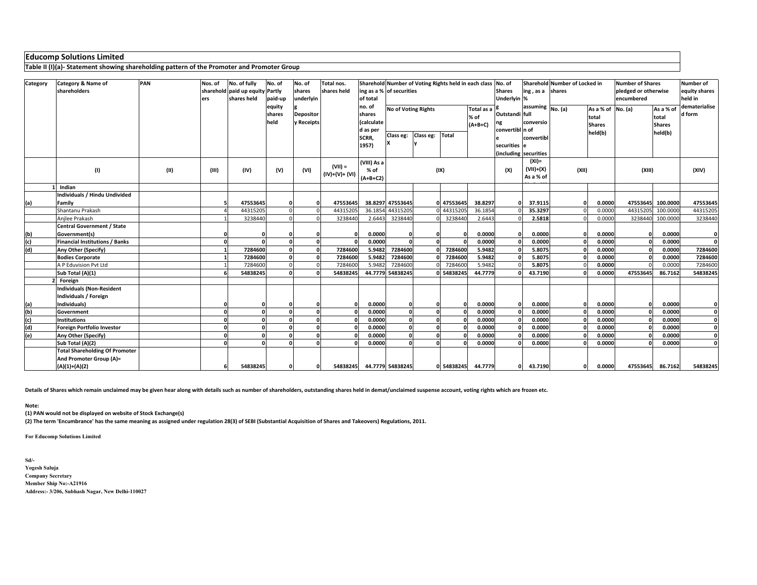**Table II (I)(a)- Statement showing shareholding pattern of the Promoter and Promoter Group**

| Category | Category & Name of                      | PAN  | Nos. of  | No. of fully                    | No. of     | No. of           | Total nos.      |                           |                                   |           | Sharehold Number of Voting Rights held in each class No. of |           |                                        | Sharehold Number of Locked in |       |                   | <b>Number of Shares</b> | <b>Number of</b> |               |  |  |
|----------|-----------------------------------------|------|----------|---------------------------------|------------|------------------|-----------------|---------------------------|-----------------------------------|-----------|-------------------------------------------------------------|-----------|----------------------------------------|-------------------------------|-------|-------------------|-------------------------|------------------|---------------|--|--|
|          | shareholders                            |      |          | sharehold paid up equity Partly |            | shares           | shares held     | ing as a % of securities  |                                   |           |                                                             |           | <b>Shares</b>                          | ing, as a shares              |       |                   | pledged or otherwise    |                  | equity shares |  |  |
|          |                                         |      | ers      | shares held                     | paid-up    | underlyin        |                 | of total                  |                                   |           |                                                             |           | Underlyin %                            |                               |       |                   | encumbered              |                  | held in       |  |  |
|          |                                         |      |          |                                 | equity     |                  |                 | no. of                    | No of Voting Rights<br>Total as a |           |                                                             |           |                                        | assuming No. (a)              |       | As a % of No. (a) |                         | As a % of        | dematerialise |  |  |
|          |                                         |      |          |                                 | shares     | <b>Depositor</b> |                 | shares                    |                                   |           |                                                             | % of      | Outstandi full                         |                               |       | total             |                         | total            | d form        |  |  |
|          |                                         |      |          |                                 | held       | y Receipts       |                 | (calculate                |                                   |           |                                                             | $(A+B+C)$ | ng                                     | conversio                     |       | <b>Shares</b>     |                         | <b>Shares</b>    |               |  |  |
|          |                                         |      |          |                                 |            |                  |                 | d as per                  | Class eg:                         | Class eg: | Total                                                       |           | convertibl n of                        |                               |       | held(b)           |                         | held(b)          |               |  |  |
|          |                                         |      |          |                                 |            |                  |                 | SCRR,                     |                                   |           |                                                             |           |                                        | convertib                     |       |                   |                         |                  |               |  |  |
|          |                                         |      |          |                                 |            |                  |                 | 1957)                     |                                   |           |                                                             |           | securities le<br>(including securities |                               |       |                   |                         |                  |               |  |  |
|          |                                         |      |          |                                 |            |                  |                 |                           |                                   |           |                                                             |           |                                        | $(XI) =$                      |       |                   |                         |                  |               |  |  |
|          |                                         | (II) | (III)    | (IV)                            |            | (VI)             | $(VII) =$       | (VIII) As a<br>% of       |                                   |           |                                                             |           | (X)                                    | $(VII)+(X)$                   | (XII) |                   | (XIII)                  |                  | (XIV)         |  |  |
|          | (1)                                     |      |          |                                 | (V)        |                  | $(IV)+(V)+(VI)$ | $(A+B+C2)$                | (IX)                              |           |                                                             |           |                                        |                               |       | As a % of         |                         |                  |               |  |  |
|          |                                         |      |          |                                 |            |                  |                 |                           |                                   |           |                                                             |           |                                        |                               |       |                   |                         |                  |               |  |  |
|          | Indian<br>Individuals / Hindu Undivided |      |          |                                 |            |                  |                 |                           |                                   |           |                                                             |           |                                        |                               |       |                   |                         |                  |               |  |  |
|          | Family                                  |      |          | 47553645                        |            |                  | 47553645        |                           | 38.8297 47553645                  |           | 0 47553645                                                  | 38.8297   |                                        | 37.9115                       |       | 0.0000            | 47553645                | 100.0000         | 47553645      |  |  |
| (a)      | Shantanu Prakash                        |      |          | 44315205                        | $\Omega$   |                  | 44315205        |                           | 36.1854 44315205                  |           | 4431520                                                     | 36.1854   |                                        | 35.3297                       |       | 0.0000            | 44315205                | 100.000          | 44315205      |  |  |
|          | Anjlee Prakash                          |      |          | 3238440                         |            |                  | 3238440         | 2.6443                    | 3238440                           |           | 3238440                                                     | 2.6443    |                                        | 2.5818                        |       | 0.0000            | 3238440                 | 100.0000         | 3238440       |  |  |
|          | <b>Central Government / State</b>       |      |          |                                 |            |                  |                 |                           |                                   |           |                                                             |           |                                        |                               |       |                   |                         |                  |               |  |  |
| (b)      | Government(s)                           |      |          |                                 |            |                  |                 | 0.0000                    |                                   |           |                                                             | 0.0000    |                                        | 0.0000                        |       | 0.0000            |                         | 0.0000           | 0             |  |  |
| (c)      | <b>Financial Institutions / Banks</b>   |      |          |                                 |            |                  |                 | 0.0000                    |                                   |           |                                                             | 0.0000    |                                        | 0.0000                        |       | 0.0000            |                         | 0.0000           | $\Omega$      |  |  |
| (d)      | Any Other (Specify)                     |      |          | 7284600                         |            |                  | 7284600         | 5.9482                    | 7284600                           |           | 7284600                                                     | 5.9482    |                                        | 5.8075                        |       | 0.0000            |                         | 0.0000           | 7284600       |  |  |
|          | <b>Bodies Corporate</b>                 |      |          | 7284600                         | O          |                  | 7284600         | 5.9482                    | 7284600                           |           | 7284600                                                     | 5.9482    |                                        | 5.8075                        |       | 0.0000            |                         | 0.0000           | 7284600       |  |  |
|          | A P Eduvision Pvt Ltd                   |      |          | 7284600                         | $\Omega$   |                  | 7284600         | 5.9482                    | 7284600                           |           | 7284600                                                     | 5.9482    |                                        | 5.8075                        |       | 0.0000            |                         | 0.0000           | 7284600       |  |  |
|          | Sub Total (A)(1)                        |      |          | 54838245                        |            |                  | 54838245        |                           | 44.7779 54838245                  |           | 54838245                                                    | 44.7779   |                                        | 43.7190                       |       | 0.0000            | 47553645                | 86.7162          | 54838245      |  |  |
|          | Foreign                                 |      |          |                                 |            |                  |                 |                           |                                   |           |                                                             |           |                                        |                               |       |                   |                         |                  |               |  |  |
|          | <b>Individuals (Non-Resident</b>        |      |          |                                 |            |                  |                 |                           |                                   |           |                                                             |           |                                        |                               |       |                   |                         |                  |               |  |  |
|          | Individuals / Foreign                   |      |          |                                 |            |                  |                 |                           |                                   |           |                                                             |           |                                        |                               |       |                   |                         |                  |               |  |  |
| (a)      | Individuals)                            |      | $\Omega$ |                                 |            |                  |                 | 0.0000                    | $\Omega$                          |           |                                                             | 0.0000    |                                        | 0.0000                        |       | 0.0000            |                         | 0.0000           |               |  |  |
| (b)      | Government                              |      |          |                                 | $\sqrt{2}$ |                  |                 | 0.0000                    | $\Omega$                          | n         |                                                             | 0.0000    |                                        | 0.0000                        |       | 0.0000            |                         | 0.0000           |               |  |  |
| (c)      | Institutions                            |      |          |                                 | $\Omega$   |                  |                 | 0.0000                    | $\Omega$                          |           |                                                             | 0.0000    |                                        | 0.0000                        |       | 0.0000            |                         | 0.0000           |               |  |  |
| (d)      | <b>Foreign Portfolio Investor</b>       |      |          |                                 | $\Omega$   |                  |                 | 0.0000                    | $\Omega$                          | n         |                                                             | 0.0000    |                                        | 0.0000                        |       | 0.0000            |                         | 0.0000           |               |  |  |
| (e)      | Any Other (Specify)                     |      |          |                                 |            |                  |                 | 0.0000                    | $\Omega$                          |           |                                                             | 0.0000    |                                        | 0.0000                        |       | 0.0000            |                         | 0.0000           |               |  |  |
|          | Sub Total (A)(2)                        |      |          |                                 |            |                  |                 | 0.0000                    | $\Omega$                          |           |                                                             | 0.0000    |                                        | 0.0000                        |       | 0.0000            |                         | 0.0000           |               |  |  |
|          | <b>Total Shareholding Of Promoter</b>   |      |          |                                 |            |                  |                 |                           |                                   |           |                                                             |           |                                        |                               |       |                   |                         |                  |               |  |  |
|          | And Promoter Group (A)=                 |      |          |                                 |            |                  |                 |                           |                                   |           |                                                             |           |                                        |                               |       |                   |                         |                  |               |  |  |
|          | $(A)(1)+(A)(2)$                         |      | 6        | 54838245                        |            |                  |                 | 54838245 44.7779 54838245 |                                   |           | 0 54838245                                                  | 44.7779   |                                        | 43.7190                       |       | 0.0000            |                         | 47553645 86.7162 | 54838245      |  |  |

**Details of Shares which remain unclaimed may be given hear along with details such as number of shareholders, outstanding shares held in demat/unclaimed suspense account, voting rights which are frozen etc.**

## **Note:**

**(1) PAN would not be displayed on website of Stock Exchange(s)** 

**(2) The term 'Encumbrance' has the same meaning as assigned under regulation 28(3) of SEBI (Substantial Acquisition of Shares and Takeovers) Regulations, 2011.**

**For Educomp Solutions Limited**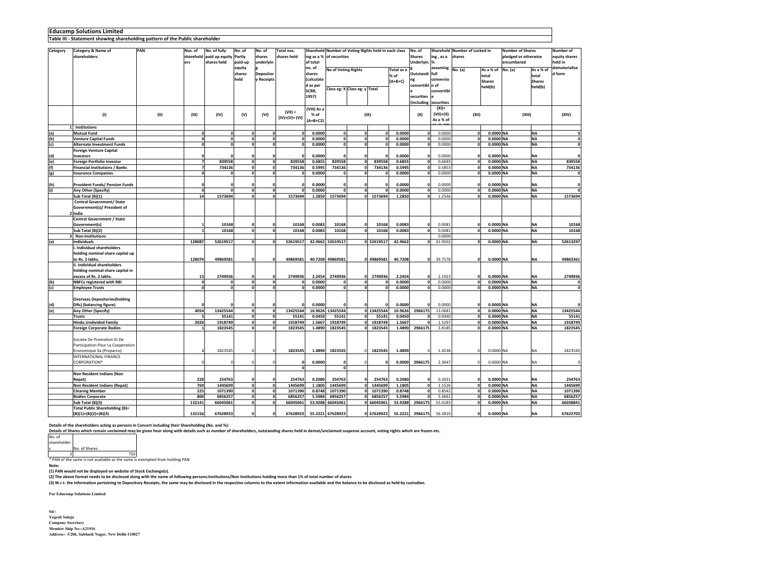#### **Table III - Statement showing shareholding pattern of the Public shareholder**

| Category | Category & Name of                                | PAN  | Nos. of        | No. of fully             | No. of       | No. of               | Total nos.      |             |                  | Sharehold Number of Voting Rights held in each class |              |                        | No. of          |                       | Sharehold Number of Locked in |               | <b>Number of Shares</b> |               | Number of     |
|----------|---------------------------------------------------|------|----------------|--------------------------|--------------|----------------------|-----------------|-------------|------------------|------------------------------------------------------|--------------|------------------------|-----------------|-----------------------|-------------------------------|---------------|-------------------------|---------------|---------------|
|          | shareholders                                      |      |                | sharehold paid up equity | Partly       | shares               | shares held     | ing as a %  | of securities    |                                                      |              |                        | <b>Shares</b>   | ing, as a             | shares                        |               | pledged or otherwise    |               | equity shares |
|          |                                                   |      | ers            | shares held              | paid-up      | underlyin            |                 | of total    |                  |                                                      |              |                        | Underlyin       | %                     |                               |               | encumbered              |               | held in       |
|          |                                                   |      |                |                          | equity       |                      |                 | no. of      |                  | No of Voting Rights<br>Total as a                    |              |                        |                 | assuming              | No. (a)                       | As a % of     | No. (a)                 | As a % of     | dematerialise |
|          |                                                   |      |                |                          | shares       | <b>Depositor</b>     |                 | shares      |                  |                                                      |              | % of                   | Outstandi full  |                       |                               | total         |                         | total         | d form        |
|          |                                                   |      |                |                          | held         | <b>Receipts</b>      |                 | (calculate  |                  |                                                      |              | $(A+B+C)$              | ng              | conversio             |                               | <b>Shares</b> |                         | <b>Shares</b> |               |
|          |                                                   |      |                |                          |              |                      |                 | d as per    |                  | Class eg: X Class eg: y Total                        |              |                        | convertibl n of |                       |                               | held(b)       |                         | held(b)       |               |
|          |                                                   |      |                |                          |              |                      |                 | SCRR.       |                  |                                                      |              |                        |                 | convertibl            |                               |               |                         |               |               |
|          |                                                   |      |                |                          |              |                      |                 | 1957)       |                  |                                                      |              |                        | securities      |                       |                               |               |                         |               |               |
|          |                                                   |      |                |                          |              |                      |                 |             |                  |                                                      |              |                        |                 | (including securities |                               |               |                         |               |               |
|          |                                                   |      |                |                          |              |                      | $(VII) =$       | (VIII) As a |                  |                                                      |              |                        |                 | $(XI) =$              |                               |               |                         |               |               |
|          | (1)                                               | (II) | (III)          | (IV)                     | (V)          | (VI)                 | $(IV)+(V)+(VI)$ | % of        |                  |                                                      | (IX)         |                        | (X)             | $(VII)+(X)$           | (XII)                         |               | (XIII)                  |               | (XIV)         |
|          |                                                   |      |                |                          |              |                      |                 | $(A+B+C2)$  |                  |                                                      |              |                        |                 | As a % of             |                               |               |                         |               |               |
|          | 1 Institutions                                    |      |                |                          |              |                      |                 |             |                  |                                                      |              |                        |                 |                       |                               |               |                         |               |               |
| (a)      | <b>Mutual Fund</b>                                |      | $\mathbf{0}$   |                          | $\mathbf 0$  |                      |                 | 0.0000      | $\mathbf 0$      | $\mathbf{0}$                                         |              | 0.0000<br>$\mathbf{0}$ | $\mathbf 0$     | 0.0000                | 0                             | 0.0000 NA     |                         | <b>NA</b>     | $\mathbf 0$   |
| (b)      | <b>Venture Capital Funds</b>                      |      | $\Omega$       | n                        | $\mathbf 0$  | $\mathbf{r}$         | $\mathbf{r}$    | 0.0000      | $\mathbf 0$      | $\mathbf{o}$                                         | $\mathbf 0$  | 0.0000                 | $\mathbf{0}$    | 0.0000                | 0                             | 0.0000 NA     |                         | <b>NA</b>     | $\mathbf 0$   |
| (c)      | Alternate Investment Funds                        |      | $\mathbf{0}$   | n                        | 0            | $\Omega$             | $\Omega$        | 0.0000      | o                | $\mathbf{o}$                                         | $\mathbf{0}$ | 0.0000                 | ٥I              | 0.0000                | ol                            | 0.0000 NA     |                         | <b>NA</b>     | $\mathbf 0$   |
|          | <b>Foreign Venture Capital</b>                    |      |                |                          |              |                      |                 |             |                  |                                                      |              |                        |                 |                       |                               |               |                         |               |               |
| (d)      | Investors                                         |      |                |                          |              |                      |                 | 0.0000      | n                | $\Omega$                                             | $\mathbf{a}$ | 0.0000                 | n               | 0.0000                | $\Omega$                      | 0.0000 NA     |                         | <b>NA</b>     |               |
| (e)      | Foreign Portfolio Investor                        |      | $\overline{z}$ | 839558                   | 0            | o                    | 839558          | 0.6855      | 839558           | $\mathbf{o}$                                         | 839558       | 0.6855                 | 0               | 0.6693                | 0                             | 0.0000 NA     |                         | <b>NA</b>     | 839558        |
| (f)      | <b>Financial Institutions / Banks</b>             |      | $\overline{z}$ | 734136                   | ol           | $\mathbf{0}$         | 734136          | 0.5995      | 734136           | $\mathbf 0$                                          | 734136       | 0.5995                 | ol              | 0.5853                | o                             | 0.0000 NA     |                         | <b>NA</b>     | 734136        |
| (g)      | <b>Insurance Companies</b>                        |      | $\mathbf{0}$   |                          | o            | $\Omega$             | $\mathbf{r}$    | 0.0000      | $\Omega$         | o                                                    | $\Omega$     | 0.0000                 | $\Omega$        | 0.0000                | 0                             | 0.0000 NA     |                         | <b>NA</b>     | $\mathbf 0$   |
|          |                                                   |      |                |                          |              |                      |                 |             |                  |                                                      |              |                        |                 |                       |                               |               |                         |               |               |
| (h)      | Provident Funds/ Pension Funds                    |      | $\sqrt{2}$     |                          |              |                      |                 | 0.0000      | $\mathbf{r}$     | $\Omega$                                             | $\mathbf{a}$ | 0.0000                 | n               | 0.0000                | $\mathbf{a}$                  | 0.0000 NA     |                         | <b>NA</b>     | $\mathbf 0$   |
| (i)      | Any Other (Specify)                               |      | $\Omega$       |                          | $\mathbf{0}$ |                      |                 | 0.0000      | $\Omega$         | $\mathbf 0$                                          | $\Omega$     | 0.0000                 | ٥l              | 0.0000                | 0                             | 0.0000 NA     |                         | <b>NA</b>     |               |
|          | Sub Total (B)(1)                                  |      | 14             | 1573694                  | $\mathbf 0$  | n                    | 1573694         | 1.2850      | 1573694          | o                                                    | 1573694      | 1.2850                 | $\mathbf 0$     | 1.2546                | o                             | 0.0000 NA     |                         | <b>NA</b>     | 1573694       |
|          | <b>Central Government/ State</b>                  |      |                |                          |              |                      |                 |             |                  |                                                      |              |                        |                 |                       |                               |               |                         |               |               |
|          | Government(s)/ President of                       |      |                |                          |              |                      |                 |             |                  |                                                      |              |                        |                 |                       |                               |               |                         |               |               |
|          | India                                             |      |                |                          |              |                      |                 |             |                  |                                                      |              |                        |                 |                       |                               |               |                         |               |               |
|          | Central Government / State                        |      |                |                          |              |                      |                 |             |                  |                                                      |              |                        |                 |                       |                               |               |                         |               |               |
|          | Government(s)                                     |      |                | 10168                    |              | r                    | 10168           | 0.0083      | 10168            | 0                                                    | 10168        | 0.0083                 | $\mathbf 0$     | 0.0081                | $\mathbf 0$                   | 0.0000 NA     |                         | <b>NA</b>     | 10168         |
|          | Sub Total (B)(2)                                  |      | $\mathbf{1}$   | 10168                    | o            | $\Omega$             | 10168           | 0.0083      | 10168            | o                                                    | 10168        | 0.0083                 | 0               | 0.0081                | o                             | 0.0000 NA     |                         | <b>NA</b>     | 10168         |
|          | <b>Non-Institutions</b>                           |      |                |                          |              |                      |                 |             |                  |                                                      |              |                        |                 | 0.0000                |                               |               |                         |               |               |
| (a)      | <b>Individuals</b>                                |      | 128087         | 52619517                 | οl           | $\mathbf{r}$         | 52619517        |             | 42.9662 52619517 |                                                      | 0 52619517   | 42.9662                | n               | 41.9502               | o                             | 0.0000 NA     |                         | <b>NA</b>     | 52613297      |
|          | Individual shareholders                           |      |                |                          |              |                      |                 |             |                  |                                                      |              |                        |                 |                       |                               |               |                         |               |               |
|          | holding nominal share capital up                  |      |                |                          |              |                      |                 |             |                  |                                                      |              |                        |                 |                       |                               |               |                         |               |               |
|          | to Rs. 2 lakhs.                                   |      | 128074         | 49869581                 | $\Omega$     | C                    | 49869581        |             | 40.7208 49869581 |                                                      | 0 49869581   | 40.7208                | $\Omega$        | 39.7578               | O                             | 0.0000 NA     |                         | <b>NA</b>     | 49863361      |
|          | ii. Individual shareholders                       |      |                |                          |              |                      |                 |             |                  |                                                      |              |                        |                 |                       |                               |               |                         |               |               |
|          | holding nominal share capital in                  |      |                |                          |              |                      |                 |             |                  |                                                      |              |                        |                 |                       |                               |               |                         |               |               |
|          | excess of Rs. 2 lakhs.                            |      | 13             | 2749936                  |              |                      | 2749936         | 2.2454      | 2749936          | $\mathbf 0$                                          | 2749936      | 2.2454                 |                 | 2.1923                | $\Omega$                      | 0.0000 NA     |                         | <b>NA</b>     | 2749936       |
| (b)      | <b>NBFCs registered with RBI</b>                  |      | $\mathbf 0$    |                          | $\mathbf 0$  | $\mathbf{a}$         |                 | 0.0000      | $\mathbf{0}$     | $\mathbf 0$                                          | $\mathbf 0$  | 0.0000                 | ٥l              | 0.0000                | o                             | 0.0000 NA     |                         | <b>NA</b>     | O             |
| (c)      | <b>Employee Trusts</b>                            |      | $\Omega$       |                          | ol           | $\mathfrak{a}$       | $\Omega$        | 0.0000      | $\mathbf{o}$     | o                                                    | $\mathbf{0}$ | 0.0000                 | ٥I              | 0.0000                | ol                            | 0.0000 NA     |                         | <b>NA</b>     | $\mathbf 0$   |
|          |                                                   |      |                |                          |              |                      |                 |             |                  |                                                      |              |                        |                 |                       |                               |               |                         |               |               |
|          | <b>Overseas Depositories(holding</b>              |      |                |                          |              |                      |                 |             |                  |                                                      |              |                        |                 |                       |                               |               |                         |               |               |
| (d)      | DRs) (balancing figure)                           |      |                |                          |              |                      |                 | 0.0000      |                  |                                                      |              | 0.0000                 | O               | 0.0000                | $\mathbf 0$                   | 0.0000 NA     |                         | <b>NA</b>     |               |
| (e)      | Any Other (Specify)                               |      | 4054           | 13425544                 | $\mathbf 0$  | $\mathbf{r}$         | 13425544        |             | 10.9626 13425544 |                                                      | 0 13425544   | 10.9626                | 2966175         | 13.0681               | 0                             | 0.0000 NA     |                         | <b>NA</b>     | 13425544      |
|          | Trusts                                            |      | 5              | 55141                    | $\mathbf{0}$ | o                    | 55141           | 0.0450      | 55141            | $\mathbf{0}$                                         | 55141        | 0.0450                 | $\Omega$        | 0.0440                | o                             | 0.0000 NA     |                         | <b>NA</b>     | 55141         |
|          | Hindu Undivided Family                            |      | 2026           | 1918749                  | o            | $\Omega$<br>$\Omega$ | 1918749         | 1.5667      | 1918749          | o                                                    | 1918749      | 1.5667                 | $\mathbf{0}$    | 1.5297                | o                             | 0.0000 NA     |                         | <b>NA</b>     | 1918749       |
|          | <b>Foreign Corporate Bodies</b>                   |      | $\mathbf{1}$   | 1823545                  | ٥l           |                      | 1823545         | 1.4890      | 1823545          | $\mathbf{0}$                                         | 1823545      | 1.4890                 | 2966175         | 3.8185                | ol                            | 0.0000 NA     |                         | <b>NA</b>     | 1823545       |
|          |                                                   |      |                |                          |              |                      |                 |             |                  |                                                      |              |                        |                 |                       |                               |               |                         |               |               |
|          | Societe De Promotion Et De                        |      |                |                          |              |                      |                 |             |                  |                                                      |              |                        |                 |                       |                               |               |                         |               |               |
|          | Participation Pour La Cooperation                 |      |                | 1823545                  |              |                      | 1823545         | 1.4890      | 1823545          | $\overline{0}$                                       | 1823545      | 1.4890                 |                 | 1.4538                | $\Omega$                      | 0.0000 NA     |                         |               | 1823545       |
|          | Economique Sa (Proparco)<br>INTERNATIONAL FINANCE |      |                |                          |              |                      |                 |             |                  |                                                      |              |                        |                 |                       |                               |               |                         | NA            |               |
|          | CORPORATION*                                      |      |                |                          |              |                      |                 | 0.0000      | $\mathbf{0}$     |                                                      | $\Omega$     | 0.0000                 | 2966175         | 2.3647                | $\Omega$                      | 0.0000 NA     |                         | NA            | $\Omega$      |
|          |                                                   |      |                |                          |              |                      | $\Omega$        |             | $\Omega$         |                                                      |              |                        |                 |                       |                               |               |                         |               |               |
|          | Non Resident Indians (Non                         |      |                |                          |              |                      |                 |             |                  |                                                      |              |                        |                 |                       |                               |               |                         |               |               |
|          | Repat)                                            |      | 228            | 254763                   |              |                      | 254763          | 0.2080      | 254763           | $\mathbf{0}$                                         | 254763       | 0.2080                 | $\mathbf 0$     | 0.2031                | o                             | 0.0000 NA     |                         | <b>NA</b>     | 254763        |
|          | Non Resident Indians (Repat)                      |      | 769            | 1445699                  | o            | C                    | 1445699         | 1.1805      | 1445699          | ol                                                   | 1445699      | 1.1805                 | ol              | 1.1526                | o                             | 0.0000 NA     |                         | <b>NA</b>     | 1445699       |
|          | <b>Clearing Member</b>                            |      | 225            | 1071390                  | $\mathbf{0}$ | o                    | 1071390         | 0.8748      | 1071390          | $\mathbf{o}$                                         | 1071390      | 0.8748                 | $\mathbf 0$     | 0.8542                | 0                             | 0.0000 NA     |                         | <b>NA</b>     | 1071390       |
|          | <b>Bodies Corporate</b>                           |      | 800            | 6856257                  | οl           | $\mathbf{0}$         | 6856257         | 5.5984      | 6856257          | o                                                    | 6856257      | 5.5984                 | n               | 5.4661                | o                             | 0.0000 NA     |                         | <b>NA</b>     | 6856257       |
|          | Sub Total (B)(3)                                  |      | 132141         | 66045061                 | οl           | $\mathfrak{a}$       | 66045061        | 53.9288     | 66045061         |                                                      | 0 66045061   | 53.9288                | 2966175         | 55.0183               | o                             | 0.0000 NA     |                         | <b>NA</b>     | 66038841      |
|          | Total Public Shareholding (B)=                    |      |                |                          |              |                      |                 |             |                  |                                                      |              |                        |                 |                       |                               |               |                         |               |               |
|          | $(B)(1)+(B)(2)+(B)(3)$                            |      | 132156         | 67628923                 | οl           | o                    | 67628923        |             | 55.2221 67628923 |                                                      | 0 67628923   | 55.2221                | 2966175         | 56,2810               | $\Omega$                      | 0.0000 NA     |                         | <b>NA</b>     | 67622703      |
|          |                                                   |      |                |                          |              |                      |                 |             |                  |                                                      |              |                        |                 |                       |                               |               |                         |               |               |

Details of the shareholders acting as persons in Concert including their Shareholding (No. and %):<br>Details of Shares which remain undaimed may be given hear along with details such as number of shareholders, outstanding sh

harehol lo. of Shares

<sup>3</sup> <sup>750</sup> \* PAN of the same is not available as the same is exempted from holding PAN

**Note:** 

**(1) PAN would not be displayed on website of Stock Exchange(s).** 

**(2) The above format needs to be disclosed along with the name of following persons:Institutions/Non Institutions holding more than 1% of total number of shares**

**(3) W.r.t. the information pertaining to Depository Receipts, the same may be disclosed in the respective columns to the extent information available and the balance to be disclosed as held by custodian.**

**For Educomp Solutions Limited**